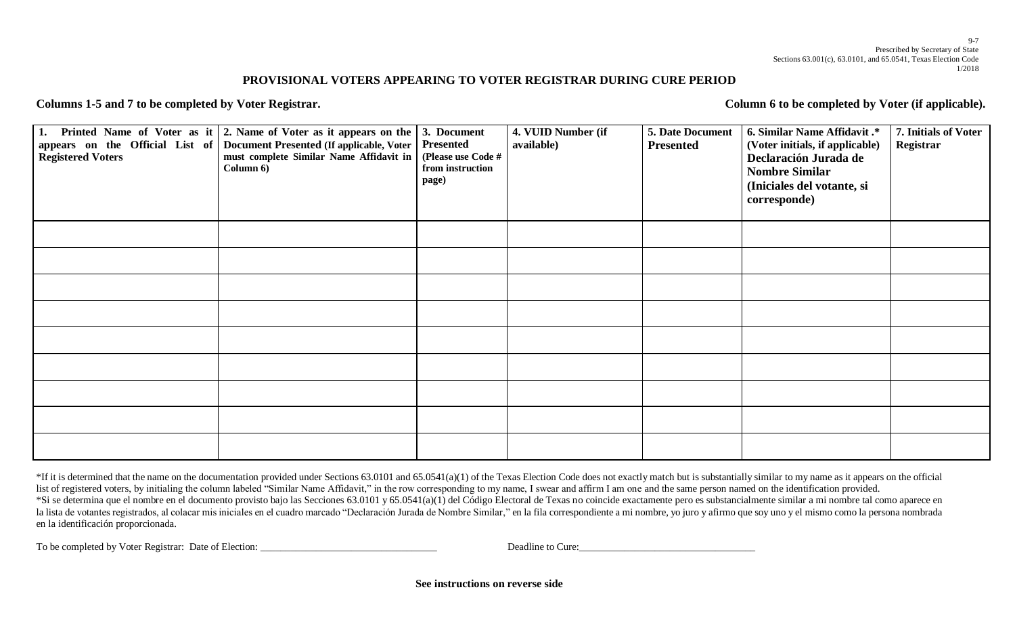## **PROVISIONAL VOTERS APPEARING TO VOTER REGISTRAR DURING CURE PERIOD**

Columns 1-5 and 7 to be completed by Voter Registrar. Column 6 to be completed by Voter (if applicable).

| <b>Registered Voters</b> | 1. Printed Name of Voter as it $\vert$ 2. Name of Voter as it appears on the $\vert$ 3. Document<br>appears on the Official List of Document Presented (If applicable, Voter<br>must complete Similar Name Affidavit in<br>Column 6) | Presented<br>(Please use Code #<br>from instruction<br>page) | 4. VUID Number (if<br>available) | 5. Date Document<br><b>Presented</b> | 6. Similar Name Affidavit .*<br>(Voter initials, if applicable)<br>Declaración Jurada de<br><b>Nombre Similar</b><br>(Iniciales del votante, si<br>corresponde) | 7. Initials of Voter<br>Registrar |
|--------------------------|--------------------------------------------------------------------------------------------------------------------------------------------------------------------------------------------------------------------------------------|--------------------------------------------------------------|----------------------------------|--------------------------------------|-----------------------------------------------------------------------------------------------------------------------------------------------------------------|-----------------------------------|
|                          |                                                                                                                                                                                                                                      |                                                              |                                  |                                      |                                                                                                                                                                 |                                   |
|                          |                                                                                                                                                                                                                                      |                                                              |                                  |                                      |                                                                                                                                                                 |                                   |
|                          |                                                                                                                                                                                                                                      |                                                              |                                  |                                      |                                                                                                                                                                 |                                   |
|                          |                                                                                                                                                                                                                                      |                                                              |                                  |                                      |                                                                                                                                                                 |                                   |
|                          |                                                                                                                                                                                                                                      |                                                              |                                  |                                      |                                                                                                                                                                 |                                   |
|                          |                                                                                                                                                                                                                                      |                                                              |                                  |                                      |                                                                                                                                                                 |                                   |
|                          |                                                                                                                                                                                                                                      |                                                              |                                  |                                      |                                                                                                                                                                 |                                   |
|                          |                                                                                                                                                                                                                                      |                                                              |                                  |                                      |                                                                                                                                                                 |                                   |
|                          |                                                                                                                                                                                                                                      |                                                              |                                  |                                      |                                                                                                                                                                 |                                   |

\*If it is determined that the name on the documentation provided under Sections 63.0101 and 65.0541(a)(1) of the Texas Election Code does not exactly match but is substantially similar to my name as it appears on the offic list of registered voters, by initialing the column labeled "Similar Name Affidavit," in the row corresponding to my name, I swear and affirm I am one and the same person named on the identification provided. \*Si se determina que el nombre en el documento provisto bajo las Secciones 63.0101 y 65.0541(a)(1) del Código Electoral de Texas no coincide exactamente pero es substancialmente similar a mi nombre tal como aparece en la lista de votantes registrados, al colacar mis iniciales en el cuadro marcado "Declaración Jurada de Nombre Similar," en la fila correspondiente a mi nombre, yo juro y afirmo que soy uno y el mismo como la persona nombra en la identificación proporcionada.

To be completed by Voter Registrar: Date of Election: \_\_\_\_\_\_\_\_\_\_\_\_\_\_\_\_\_\_\_\_\_\_\_\_\_\_\_\_\_\_\_\_\_\_\_ Deadline to Cure:\_\_\_\_\_\_\_\_\_\_\_\_\_\_\_\_\_\_\_\_\_\_\_\_\_\_\_\_\_\_\_\_\_\_\_